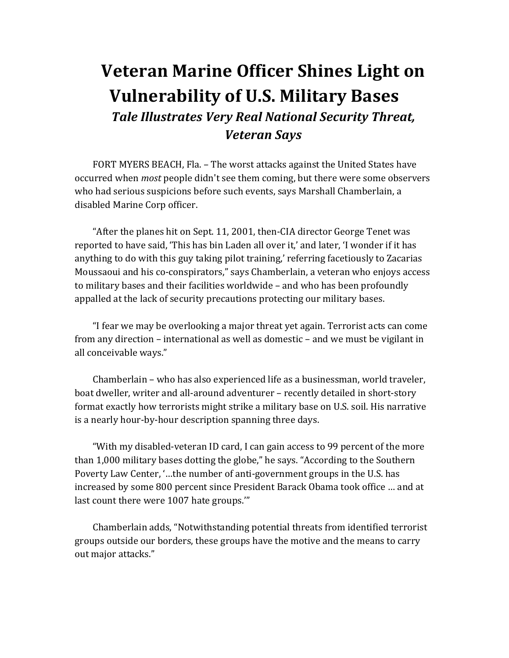## **Veteran Marine Officer Shines Light on Vulnerability of U.S. Military Bases** *Tale Illustrates Very Real National Security Threat, Veteran Says*

FORT MYERS BEACH, Fla. - The worst attacks against the United States have occurred when *most* people didn't see them coming, but there were some observers who had serious suspicions before such events, says Marshall Chamberlain, a disabled Marine Corp officer.

"After the planes hit on Sept. 11, 2001, then-CIA director George Tenet was reported to have said, 'This has bin Laden all over it,' and later, 'I wonder if it has anything to do with this guy taking pilot training,' referring facetiously to Zacarias Moussaoui and his co-conspirators," says Chamberlain, a veteran who enjoys access to military bases and their facilities worldwide – and who has been profoundly appalled at the lack of security precautions protecting our military bases.

"I fear we may be overlooking a major threat yet again. Terrorist acts can come from any direction – international as well as domestic – and we must be vigilant in all conceivable ways."

Chamberlain – who has also experienced life as a businessman, world traveler, boat dweller, writer and all-around adventurer – recently detailed in short-story format exactly how terrorists might strike a military base on U.S. soil. His narrative is a nearly hour-by-hour description spanning three days.

"With my disabled-veteran ID card, I can gain access to 99 percent of the more than 1,000 military bases dotting the globe," he says. "According to the Southern Poverty Law Center, '...the number of anti-government groups in the U.S. has increased by some 800 percent since President Barack Obama took office ... and at last count there were 1007 hate groups.""

Chamberlain adds, "Notwithstanding potential threats from identified terrorist groups outside our borders, these groups have the motive and the means to carry out major attacks."